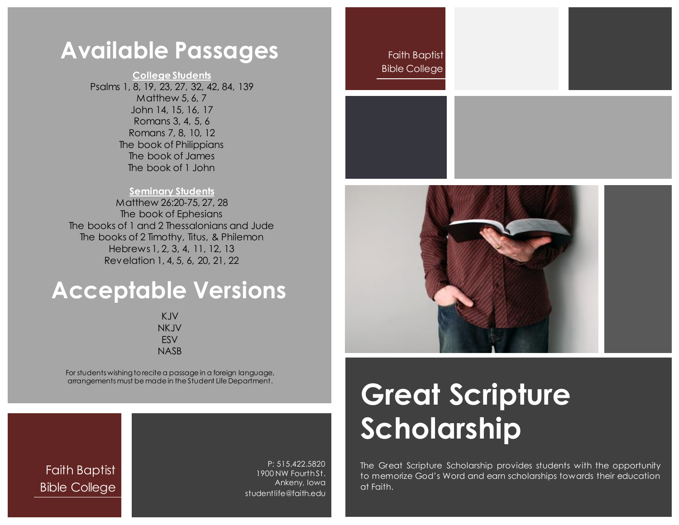### **Available Passages** Faith Baptist

**College Students** Psalms 1, 8, 19, 23, 27, 32, 42, 84, 139 Matthew 5, 6, 7 John 14, 15, 16, 17 Romans 3, 4, 5, 6 Romans 7, 8, 10, 12 The book of Philippians The book of James The book of 1 John

#### **Seminary Students**

Matthew 26:20-75, 27, 28 The book of Ephesians The books of 1 and 2 Thessalonians and Jude The books of 2 Timothy, Titus, & Philemon Hebrews 1, 2, 3, 4, 11, 12, 13 Revelation 1, 4, 5, 6, 20, 21, 22

## **Acceptable Versions**

KJV NKJV ESV NASB

For students wishing to recite a passage in a foreign language, arrangements must be made in the Student Life Department.

Faith Baptist Bible College

P: 515.422.5820 1900 NW Fourth St. Ankeny, Iowa studentlife@faith.edu

### Bible College



# **Great Scripture Scholarship**

The Great Scripture Scholarship provides students with the opportunity to memorize God's Word and earn scholarships towards their education at Faith.